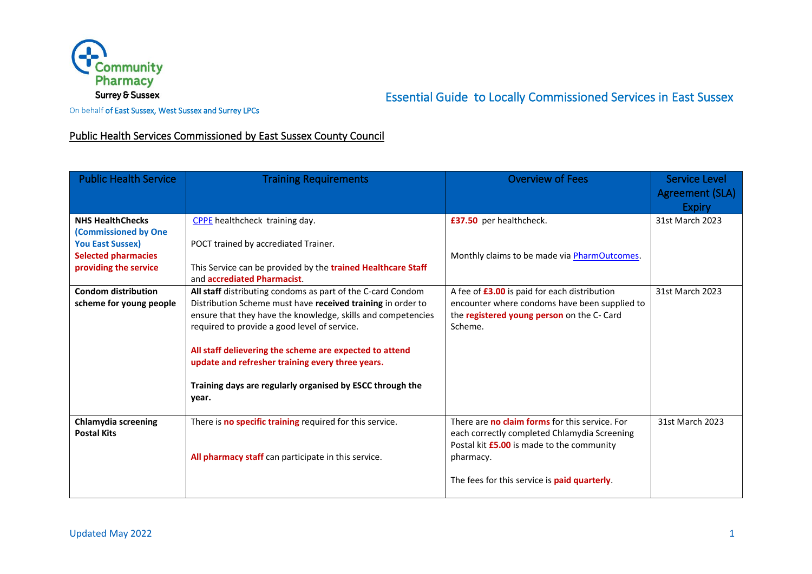

# Essential Guide to Locally Commissioned Services in East Sussex

On behalf of East Sussex, West Sussex and Surrey LPCs

## Public Health Services Commissioned by East Sussex County Council

| <b>Public Health Service</b>                                                                                                             | <b>Training Requirements</b>                                                                                                                                                                                                                                                                                                                                                                                                    | <b>Overview of Fees</b>                                                                                                                                                                                  | Service Level<br>Agreement (SLA)<br><b>Expiry</b> |
|------------------------------------------------------------------------------------------------------------------------------------------|---------------------------------------------------------------------------------------------------------------------------------------------------------------------------------------------------------------------------------------------------------------------------------------------------------------------------------------------------------------------------------------------------------------------------------|----------------------------------------------------------------------------------------------------------------------------------------------------------------------------------------------------------|---------------------------------------------------|
| <b>NHS HealthChecks</b><br><b>(Commissioned by One</b><br><b>You East Sussex)</b><br><b>Selected pharmacies</b><br>providing the service | CPPE healthcheck training day.<br>POCT trained by accrediated Trainer.<br>This Service can be provided by the trained Healthcare Staff<br>and accrediated Pharmacist.                                                                                                                                                                                                                                                           | £37.50 per healthcheck.<br>Monthly claims to be made via PharmOutcomes.                                                                                                                                  | 31st March 2023                                   |
| <b>Condom distribution</b><br>scheme for young people                                                                                    | All staff distributing condoms as part of the C-card Condom<br>Distribution Scheme must have received training in order to<br>ensure that they have the knowledge, skills and competencies<br>required to provide a good level of service.<br>All staff delievering the scheme are expected to attend<br>update and refresher training every three years.<br>Training days are regularly organised by ESCC through the<br>year. | A fee of £3.00 is paid for each distribution<br>encounter where condoms have been supplied to<br>the registered young person on the C- Card<br>Scheme.                                                   | 31st March 2023                                   |
| <b>Chlamydia screening</b><br><b>Postal Kits</b>                                                                                         | There is no specific training required for this service.<br>All pharmacy staff can participate in this service.                                                                                                                                                                                                                                                                                                                 | There are no claim forms for this service. For<br>each correctly completed Chlamydia Screening<br>Postal kit £5.00 is made to the community<br>pharmacy.<br>The fees for this service is paid quarterly. | 31st March 2023                                   |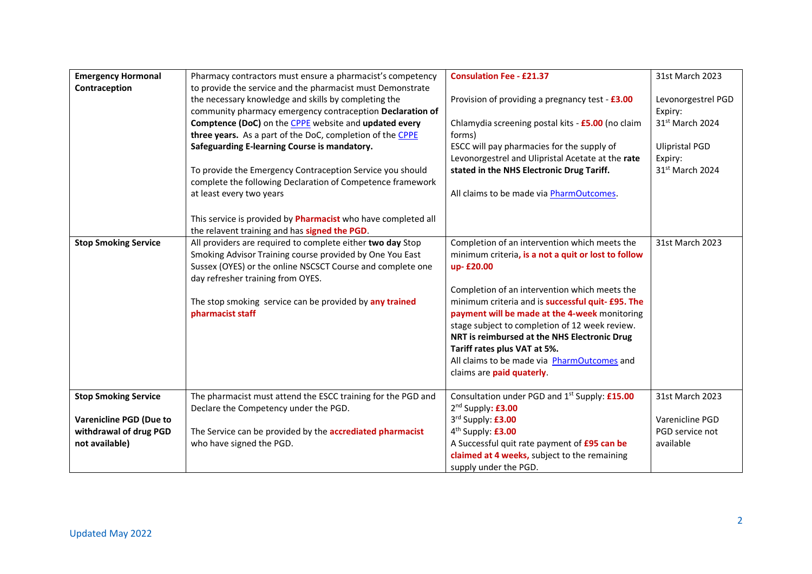| <b>Emergency Hormonal</b>      | Pharmacy contractors must ensure a pharmacist's competency    | <b>Consulation Fee - £21.37</b>                           | 31st March 2023       |
|--------------------------------|---------------------------------------------------------------|-----------------------------------------------------------|-----------------------|
| Contraception                  | to provide the service and the pharmacist must Demonstrate    |                                                           |                       |
|                                | the necessary knowledge and skills by completing the          | Provision of providing a pregnancy test - £3.00           | Levonorgestrel PGD    |
|                                | community pharmacy emergency contraception Declaration of     |                                                           | Expiry:               |
|                                | Comptence (DoC) on the CPPE website and updated every         | Chlamydia screening postal kits - £5.00 (no claim         | 31st March 2024       |
|                                | three years. As a part of the DoC, completion of the CPPE     | forms)                                                    |                       |
|                                | Safeguarding E-learning Course is mandatory.                  | ESCC will pay pharmacies for the supply of                | <b>Ulipristal PGD</b> |
|                                |                                                               | Levonorgestrel and Ulipristal Acetate at the rate         | Expiry:               |
|                                | To provide the Emergency Contraception Service you should     | stated in the NHS Electronic Drug Tariff.                 | 31st March 2024       |
|                                | complete the following Declaration of Competence framework    |                                                           |                       |
|                                | at least every two years                                      | All claims to be made via PharmOutcomes.                  |                       |
|                                | This service is provided by Pharmacist who have completed all |                                                           |                       |
|                                | the relavent training and has signed the PGD.                 |                                                           |                       |
| <b>Stop Smoking Service</b>    | All providers are required to complete either two day Stop    | Completion of an intervention which meets the             | 31st March 2023       |
|                                | Smoking Advisor Training course provided by One You East      | minimum criteria, is a not a quit or lost to follow       |                       |
|                                | Sussex (OYES) or the online NSCSCT Course and complete one    | up-£20.00                                                 |                       |
|                                | day refresher training from OYES.                             |                                                           |                       |
|                                |                                                               | Completion of an intervention which meets the             |                       |
|                                | The stop smoking service can be provided by any trained       | minimum criteria and is successful quit- £95. The         |                       |
|                                | pharmacist staff                                              | payment will be made at the 4-week monitoring             |                       |
|                                |                                                               | stage subject to completion of 12 week review.            |                       |
|                                |                                                               | NRT is reimbursed at the NHS Electronic Drug              |                       |
|                                |                                                               | Tariff rates plus VAT at 5%.                              |                       |
|                                |                                                               | All claims to be made via PharmOutcomes and               |                       |
|                                |                                                               | claims are paid quaterly.                                 |                       |
| <b>Stop Smoking Service</b>    | The pharmacist must attend the ESCC training for the PGD and  | Consultation under PGD and 1 <sup>st</sup> Supply: £15.00 | 31st March 2023       |
|                                | Declare the Competency under the PGD.                         | 2 <sup>nd</sup> Supply: £3.00                             |                       |
| <b>Varenicline PGD (Due to</b> |                                                               | 3rd Supply: £3.00                                         | Varenicline PGD       |
| withdrawal of drug PGD         | The Service can be provided by the accrediated pharmacist     | 4 <sup>th</sup> Supply: £3.00                             | PGD service not       |
| not available)                 | who have signed the PGD.                                      | A Successful quit rate payment of £95 can be              | available             |
|                                |                                                               | claimed at 4 weeks, subject to the remaining              |                       |
|                                |                                                               | supply under the PGD.                                     |                       |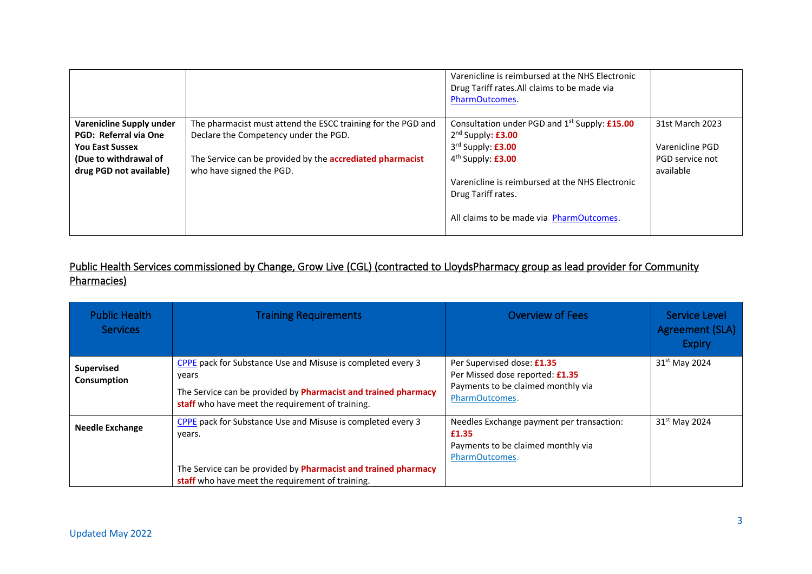|                                                        |                                                              | Varenicline is reimbursed at the NHS Electronic<br>Drug Tariff rates. All claims to be made via<br>PharmOutcomes. |                 |
|--------------------------------------------------------|--------------------------------------------------------------|-------------------------------------------------------------------------------------------------------------------|-----------------|
| Varenicline Supply under                               | The pharmacist must attend the ESCC training for the PGD and | Consultation under PGD and 1 <sup>st</sup> Supply: £15.00                                                         | 31st March 2023 |
| <b>PGD: Referral via One</b><br><b>You East Sussex</b> | Declare the Competency under the PGD.                        | $2nd$ Supply: £3.00<br>3rd Supply: £3.00                                                                          | Varenicline PGD |
|                                                        |                                                              |                                                                                                                   |                 |
| (Due to withdrawal of                                  | The Service can be provided by the accrediated pharmacist    | 4 <sup>th</sup> Supply: £3.00                                                                                     | PGD service not |
| drug PGD not available)                                | who have signed the PGD.                                     |                                                                                                                   | available       |
|                                                        |                                                              | Varenicline is reimbursed at the NHS Electronic                                                                   |                 |
|                                                        |                                                              | Drug Tariff rates.                                                                                                |                 |
|                                                        |                                                              | All claims to be made via PharmOutcomes.                                                                          |                 |

# Public Health Services commissioned by Change, Grow Live (CGL) (contracted to LloydsPharmacy group as lead provider for Community Pharmacies)

| <b>Public Health</b><br><b>Services</b> | <b>Training Requirements</b>                                                                                                                                                                       | <b>Overview of Fees</b>                                                                                               | Service Level<br>Agreement (SLA)<br><b>Expiry</b> |
|-----------------------------------------|----------------------------------------------------------------------------------------------------------------------------------------------------------------------------------------------------|-----------------------------------------------------------------------------------------------------------------------|---------------------------------------------------|
| <b>Supervised</b><br>Consumption        | CPPE pack for Substance Use and Misuse is completed every 3<br>years<br>The Service can be provided by Pharmacist and trained pharmacy<br>staff who have meet the requirement of training.         | Per Supervised dose: £1.35<br>Per Missed dose reported: £1.35<br>Payments to be claimed monthly via<br>PharmOutcomes. | 31 <sup>st</sup> May 2024                         |
| <b>Needle Exchange</b>                  | CPPE pack for Substance Use and Misuse is completed every 3<br>years.<br>The Service can be provided by <b>Pharmacist and trained pharmacy</b><br>staff who have meet the requirement of training. | Needles Exchange payment per transaction:<br>£1.35<br>Payments to be claimed monthly via<br>PharmOutcomes.            | $31st$ May 2024                                   |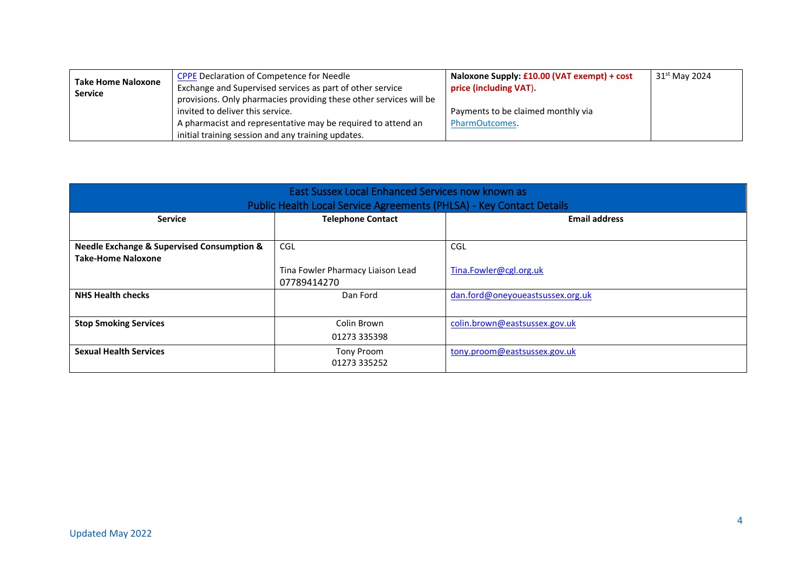| <b>Take Home Naloxone</b><br><b>Service</b> | <b>CPPE Declaration of Competence for Needle</b><br>Exchange and Supervised services as part of other service                                                          | Naloxone Supply: £10.00 (VAT exempt) + cost<br>price (including VAT). | 31 <sup>st</sup> May 2024 |
|---------------------------------------------|------------------------------------------------------------------------------------------------------------------------------------------------------------------------|-----------------------------------------------------------------------|---------------------------|
|                                             | provisions. Only pharmacies providing these other services will be<br>invited to deliver this service.<br>A pharmacist and representative may be required to attend an | Payments to be claimed monthly via<br>PharmOutcomes.                  |                           |
|                                             | initial training session and any training updates.                                                                                                                     |                                                                       |                           |

| East Sussex Local Enhanced Services now known as<br>Public Health Local Service Agreements (PHLSA) - Key Contact Details |                                          |                                  |  |
|--------------------------------------------------------------------------------------------------------------------------|------------------------------------------|----------------------------------|--|
| <b>Service</b>                                                                                                           | <b>Telephone Contact</b>                 | <b>Email address</b>             |  |
| <b>Needle Exchange &amp; Supervised Consumption &amp;</b><br><b>Take-Home Naloxone</b>                                   | CGL<br>Tina Fowler Pharmacy Liaison Lead | CGL<br>Tina.Fowler@cgl.org.uk    |  |
| <b>NHS Health checks</b>                                                                                                 | 07789414270<br>Dan Ford                  | dan.ford@oneyoueastsussex.org.uk |  |
| <b>Stop Smoking Services</b>                                                                                             | Colin Brown<br>01273 335398              | colin.brown@eastsussex.gov.uk    |  |
| <b>Sexual Health Services</b>                                                                                            | Tony Proom<br>01273 335252               | tony.proom@eastsussex.gov.uk     |  |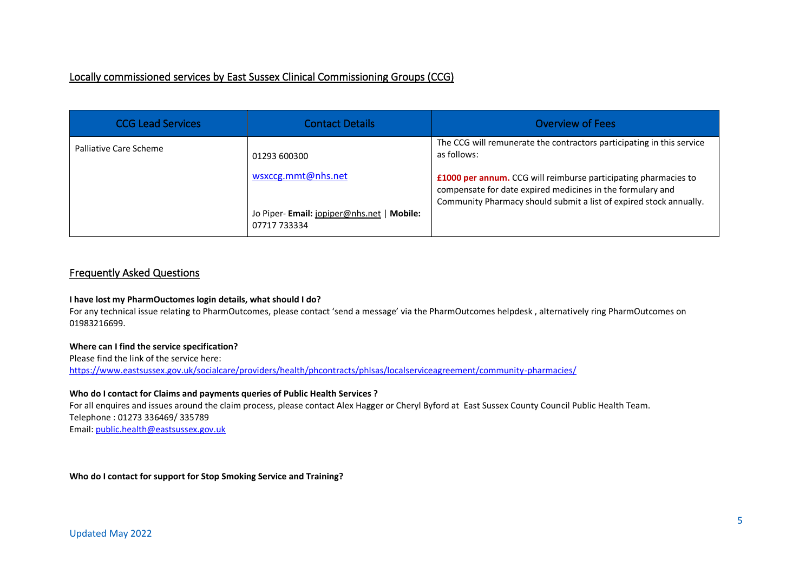## Locally commissioned services by East Sussex Clinical Commissioning Groups (CCG)

| <b>CCG Lead Services</b> | <b>Contact Details</b>                                    | <b>Overview of Fees</b>                                                                                                                                                                                               |
|--------------------------|-----------------------------------------------------------|-----------------------------------------------------------------------------------------------------------------------------------------------------------------------------------------------------------------------|
| Palliative Care Scheme   | 01293 600300<br>wsxccg.mmt@nhs.net                        | The CCG will remunerate the contractors participating in this service<br>as follows:<br>£1000 per annum. CCG will reimburse participating pharmacies to<br>compensate for date expired medicines in the formulary and |
|                          | Jo Piper-Email: jopiper@nhs.net   Mobile:<br>07717 733334 | Community Pharmacy should submit a list of expired stock annually.                                                                                                                                                    |

## Frequently Asked Questions

## **I have lost my PharmOuctomes login details, what should I do?**

For any technical issue relating to PharmOutcomes, please contact 'send a message' via the PharmOutcomes helpdesk , alternatively ring PharmOutcomes on 01983216699.

## **Where can I find the service specification?**

Please find the link of the service here:

<https://www.eastsussex.gov.uk/socialcare/providers/health/phcontracts/phlsas/localserviceagreement/community-pharmacies/>

## **Who do I contact for Claims and payments queries of Public Health Services ?**

For all enquires and issues around the claim process, please contact Alex Hagger or Cheryl Byford at East Sussex County Council Public Health Team. Telephone : 01273 336469/ 335789 Email[: public.health@eastsussex.gov.uk](mailto:public.health@eastsussex.gov.uk)

**Who do I contact for support for Stop Smoking Service and Training?**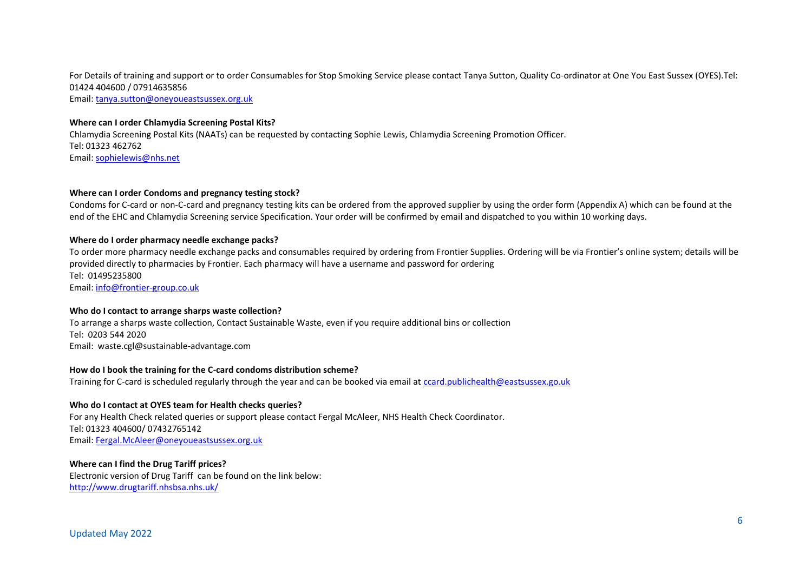For Details of training and support or to order Consumables for Stop Smoking Service please contact Tanya Sutton, Quality Co-ordinator at One You East Sussex (OYES).Tel: 01424 404600 / 07914635856

Email[: tanya.sutton@oneyoueastsussex.org.uk](mailto:tanya.sutton@oneyoueastsussex.org.uk)

## **Where can I order Chlamydia Screening Postal Kits?**

Chlamydia Screening Postal Kits (NAATs) can be requested by contacting Sophie Lewis, Chlamydia Screening Promotion Officer. Tel: 01323 462762 Email[: sophielewis@nhs.net](mailto:sophielewis@nhs.net)

## **Where can I order Condoms and pregnancy testing stock?**

Condoms for C-card or non-C-card and pregnancy testing kits can be ordered from the approved supplier by using the order form (Appendix A) which can be found at the end of the EHC and Chlamydia Screening service Specification. Your order will be confirmed by email and dispatched to you within 10 working days.

## **Where do I order pharmacy needle exchange packs?**

To order more pharmacy needle exchange packs and consumables required by ordering from Frontier Supplies. Ordering will be via Frontier's online system; details will be provided directly to pharmacies by Frontier. Each pharmacy will have a username and password for ordering Tel: 01495235800 Email[: info@frontier-group.co.uk](mailto:info@frontier-group.co.uk)

### **Who do I contact to arrange sharps waste collection?**

To arrange a sharps waste collection, Contact Sustainable Waste, even if you require additional bins or collection Tel: 0203 544 2020 Email: waste.cgl@sustainable-advantage.com

### **How do I book the training for the C-card condoms distribution scheme?**

Training for C-card is scheduled regularly through the year and can be booked via email at [ccard.publichealth@eastsussex.go.uk](mailto:ccard.publichealth@eastsussex.go.uk)

### **Who do I contact at OYES team for Health checks queries?**

For any Health Check related queries or support please contact Fergal McAleer, NHS Health Check Coordinator. Tel: 01323 404600/ 07432765142 Email[: Fergal.McAleer@oneyoueastsussex.org.uk](mailto:Fergal.McAleer@oneyoueastsussex.org.uk)

**Where can I find the Drug Tariff prices?** Electronic version of Drug Tariff can be found on the link below: <http://www.drugtariff.nhsbsa.nhs.uk/>